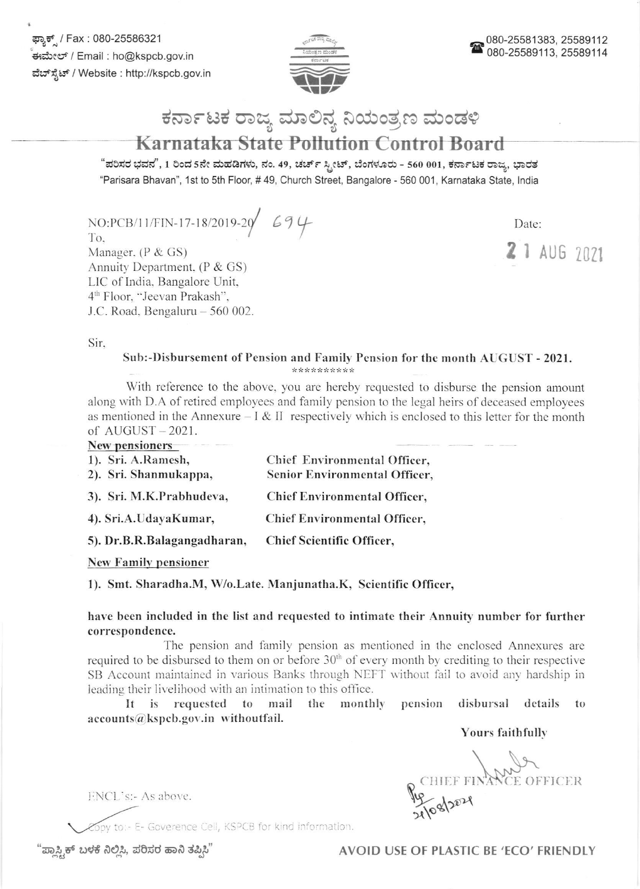ಫ್ಯಾಕ್ / Fax : 080-25586321 ಈಮೇಲ್ / Email : ho@kspcb.gov.in ವೆಬ್ ಸ್ಪೆಟ್ / Website : http://kspcb.gov.in



# ಕರ್ನಾಟಕ ರಾಜ್ಯ ಮಾಲಿನ್ಯ ನಿಯಂತ್ರಣ ಮಂಡಳಿ

# **Karnataka State Pollution Control Board**

"ಪರಿಸರ ಭವನ", 1 ರಿಂದ 5ನೇ ಮಹಡಿಗಳು, ನಂ. 49, ಚರ್ಚ್ ಸ್ಟೀಟ್, ಬೆಂಗಳೂರು - 560 001, ಕರ್ನಾಟಕ ರಾಜ್ಯ, ಭಾರತ "Parisara Bhavan", 1st to 5th Floor, #49, Church Street, Bangalore - 560 001, Karnataka State, India

 $NO:PCB/11/FIN-17-18/2019-20$  694 To.

Manager,  $(P & GS)$ Annuity Department,  $(P & GS)$ LIC of India, Bangalore Unit, 4<sup>th</sup> Floor, "Jeevan Prakash", J.C. Road, Bengaluru - 560 002. Date:

2 1 AUG 2021

Sir.

#### Sub:-Disbursement of Pension and Family Pension for the month AUGUST - 2021. \*\*\*\*\*\*\*\*\*\*

With reference to the above, you are hereby requested to disburse the pension amount along with D.A of retired employees and family pension to the legal heirs of deceased employees as mentioned in the Annexure  $-\mathbf{I} \& \mathbf{II}$  respectively which is enclosed to this letter for the month of  $AUGUST - 2021$ .

### New pensioners

| $\cdots$ $\cdots$<br>1). Sri. A.Ramesh,<br>2). Sri. Shanmukappa, | Chief Environmental Officer,<br>Senior Environmental Officer, |
|------------------------------------------------------------------|---------------------------------------------------------------|
| 3). Sri. M.K.Prabhudeva,                                         | <b>Chief Environmental Officer,</b>                           |
| 4). Sri.A.UdayaKumar,                                            | <b>Chief Environmental Officer,</b>                           |
| 5). Dr.B.R.Balagangadharan,                                      | <b>Chief Scientific Officer,</b>                              |

**New Family pensioner** 

1). Smt. Sharadha.M, W/o.Late. Manjunatha.K, Scientific Officer,

have been included in the list and requested to intimate their Annuity number for further correspondence.

The pension and family pension as mentioned in the enclosed Annexures are required to be disbursed to them on or before  $30<sup>th</sup>$  of every month by crediting to their respective SB Account maintained in various Banks through NEFT without fail to avoid any hardship in leading their livelihood with an intimation to this office.

monthly It is requested to mail the pension disbursal details to accounts@kspcb.gov.in withoutfail.

Yours faithfully

HEEF FINANCE CE OFFICER

py to :- E- Goverence Cell, KSPCB for kind information.

"ಪ್ಲಾಸ್ಟ್ರಿಕ್ ಬಳಕೆ ನಿಲ್ಲಿಸಿ, ಪರಿಸರ ಹಾನಿ ತಪ್ಪಿಸಿ"

ENCL's:- As above.

AVOID USE OF PLASTIC BE 'ECO' FRIENDLY